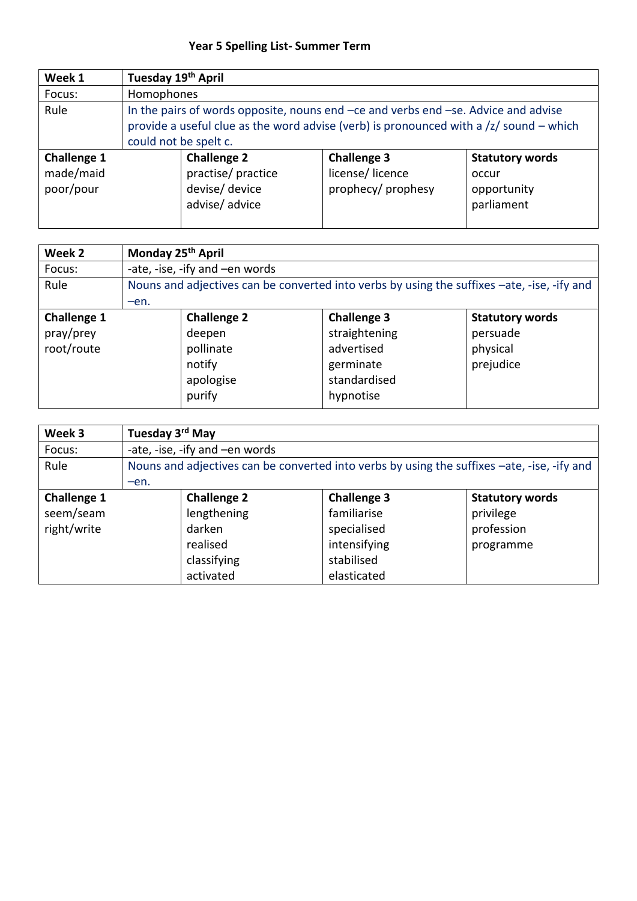## **Year 5 Spelling List- Summer Term**

| Week 1                                       | Tuesday 19th April                                                                                                                                                                                              |                                                                            |                                                             |                                                              |  |
|----------------------------------------------|-----------------------------------------------------------------------------------------------------------------------------------------------------------------------------------------------------------------|----------------------------------------------------------------------------|-------------------------------------------------------------|--------------------------------------------------------------|--|
| Focus:                                       | Homophones                                                                                                                                                                                                      |                                                                            |                                                             |                                                              |  |
| Rule                                         | In the pairs of words opposite, nouns end -ce and verbs end -se. Advice and advise<br>provide a useful clue as the word advise (verb) is pronounced with a $\frac{z}{z}$ sound – which<br>could not be spelt c. |                                                                            |                                                             |                                                              |  |
| <b>Challenge 1</b><br>made/maid<br>poor/pour |                                                                                                                                                                                                                 | <b>Challenge 2</b><br>practise/practice<br>devise/ device<br>advise/advice | <b>Challenge 3</b><br>license/licence<br>prophecy/ prophesy | <b>Statutory words</b><br>occur<br>opportunity<br>parliament |  |

| Week 2             |        | Monday 25 <sup>th</sup> April                                                               |                    |                        |  |  |
|--------------------|--------|---------------------------------------------------------------------------------------------|--------------------|------------------------|--|--|
| Focus:             |        | -ate, -ise, -ify and -en words                                                              |                    |                        |  |  |
| Rule               | $-en.$ | Nouns and adjectives can be converted into verbs by using the suffixes -ate, -ise, -ify and |                    |                        |  |  |
| <b>Challenge 1</b> |        | <b>Challenge 2</b>                                                                          | <b>Challenge 3</b> | <b>Statutory words</b> |  |  |
| pray/prey          |        | deepen                                                                                      | straightening      | persuade               |  |  |
| root/route         |        | pollinate                                                                                   | advertised         | physical               |  |  |
|                    |        | notify                                                                                      | germinate          | prejudice              |  |  |
|                    |        | apologise                                                                                   | standardised       |                        |  |  |
|                    |        | purify                                                                                      | hypnotise          |                        |  |  |

| Week 3                                         |        | Tuesday 3 <sup>rd</sup> May                                                                 |                                                                                               |                                                                |  |  |
|------------------------------------------------|--------|---------------------------------------------------------------------------------------------|-----------------------------------------------------------------------------------------------|----------------------------------------------------------------|--|--|
| Focus:                                         |        | -ate, -ise, -ify and -en words                                                              |                                                                                               |                                                                |  |  |
| Rule                                           |        | Nouns and adjectives can be converted into verbs by using the suffixes -ate, -ise, -ify and |                                                                                               |                                                                |  |  |
|                                                | $-en.$ |                                                                                             |                                                                                               |                                                                |  |  |
| <b>Challenge 1</b><br>seem/seam<br>right/write |        | <b>Challenge 2</b><br>lengthening<br>darken<br>realised<br>classifying<br>activated         | <b>Challenge 3</b><br>familiarise<br>specialised<br>intensifying<br>stabilised<br>elasticated | <b>Statutory words</b><br>privilege<br>profession<br>programme |  |  |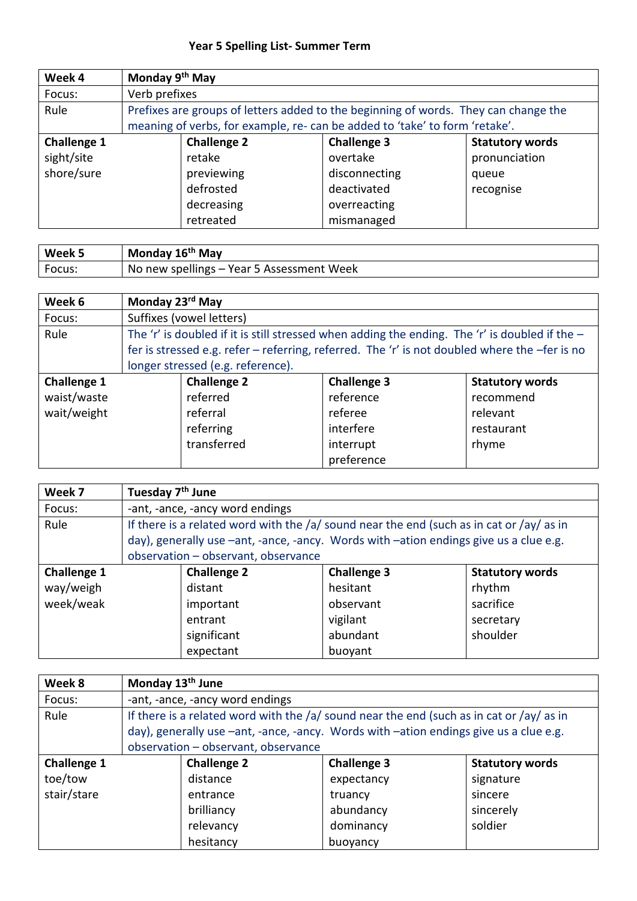## **Year 5 Spelling List- Summer Term**

| Week 4             |               | Monday 9 <sup>th</sup> May                                                                                                                                         |                    |                        |  |  |
|--------------------|---------------|--------------------------------------------------------------------------------------------------------------------------------------------------------------------|--------------------|------------------------|--|--|
| Focus:             | Verb prefixes |                                                                                                                                                                    |                    |                        |  |  |
| Rule               |               | Prefixes are groups of letters added to the beginning of words. They can change the<br>meaning of verbs, for example, re- can be added to 'take' to form 'retake'. |                    |                        |  |  |
|                    |               |                                                                                                                                                                    |                    |                        |  |  |
| <b>Challenge 1</b> |               | <b>Challenge 2</b>                                                                                                                                                 | <b>Challenge 3</b> | <b>Statutory words</b> |  |  |
| sight/site         |               | retake                                                                                                                                                             | overtake           | pronunciation          |  |  |
| shore/sure         |               | previewing                                                                                                                                                         | disconnecting      | queue                  |  |  |
|                    |               | defrosted                                                                                                                                                          | deactivated        | recognise              |  |  |
|                    |               | decreasing                                                                                                                                                         | overreacting       |                        |  |  |
|                    |               | retreated                                                                                                                                                          | mismanaged         |                        |  |  |

| Week 5 | Monday 16 <sup>th</sup> May               |
|--------|-------------------------------------------|
| Focus: | No new spellings – Year 5 Assessment Week |

| Week 6             | Monday 23rd May |                                   |                                                                                                  |                        |  |
|--------------------|-----------------|-----------------------------------|--------------------------------------------------------------------------------------------------|------------------------|--|
| Focus:             |                 | Suffixes (vowel letters)          |                                                                                                  |                        |  |
| Rule               |                 |                                   | The 'r' is doubled if it is still stressed when adding the ending. The 'r' is doubled if the $-$ |                        |  |
|                    |                 |                                   | fer is stressed e.g. refer - referring, referred. The 'r' is not doubled where the -fer is no    |                        |  |
|                    |                 | longer stressed (e.g. reference). |                                                                                                  |                        |  |
| <b>Challenge 1</b> |                 | <b>Challenge 2</b>                | <b>Challenge 3</b>                                                                               | <b>Statutory words</b> |  |
| waist/waste        |                 | referred                          | reference                                                                                        | recommend              |  |
| wait/weight        |                 | referral                          | referee                                                                                          | relevant               |  |
|                    |                 | referring                         | interfere                                                                                        | restaurant             |  |
|                    |                 | transferred                       | interrupt                                                                                        | rhyme                  |  |
|                    |                 |                                   | preference                                                                                       |                        |  |

| Week 7             | Tuesday 7 <sup>th</sup> June        |                                                                                              |                        |  |  |
|--------------------|-------------------------------------|----------------------------------------------------------------------------------------------|------------------------|--|--|
| Focus:             | -ant, -ance, -ancy word endings     |                                                                                              |                        |  |  |
| Rule               |                                     | If there is a related word with the $/a/$ sound near the end (such as in cat or $/ay/$ as in |                        |  |  |
|                    |                                     | day), generally use -ant, -ance, -ancy. Words with -ation endings give us a clue e.g.        |                        |  |  |
|                    | observation - observant, observance |                                                                                              |                        |  |  |
| <b>Challenge 1</b> | <b>Challenge 2</b>                  | <b>Challenge 3</b>                                                                           | <b>Statutory words</b> |  |  |
| way/weigh          | distant                             | hesitant                                                                                     | rhythm                 |  |  |
| week/weak          | important                           | observant                                                                                    | sacrifice              |  |  |
|                    | entrant                             | vigilant                                                                                     | secretary              |  |  |
|                    | significant                         | abundant                                                                                     | shoulder               |  |  |
|                    | expectant                           | buoyant                                                                                      |                        |  |  |

| Week 8             | Monday 13 <sup>th</sup> June        |                                                                                       |                                                                                            |                        |  |
|--------------------|-------------------------------------|---------------------------------------------------------------------------------------|--------------------------------------------------------------------------------------------|------------------------|--|
| Focus:             |                                     | -ant, -ance, -ancy word endings                                                       |                                                                                            |                        |  |
| Rule               |                                     |                                                                                       | If there is a related word with the $/a$ sound near the end (such as in cat or $/ay$ as in |                        |  |
|                    |                                     | day), generally use -ant, -ance, -ancy. Words with -ation endings give us a clue e.g. |                                                                                            |                        |  |
|                    | observation - observant, observance |                                                                                       |                                                                                            |                        |  |
| <b>Challenge 1</b> |                                     | <b>Challenge 2</b>                                                                    | <b>Challenge 3</b>                                                                         | <b>Statutory words</b> |  |
| toe/tow            |                                     | distance                                                                              | expectancy                                                                                 | signature              |  |
| stair/stare        |                                     | entrance                                                                              | truancy                                                                                    | sincere                |  |
|                    |                                     | brilliancy                                                                            | abundancy                                                                                  | sincerely              |  |
|                    |                                     | relevancy                                                                             | dominancy                                                                                  | soldier                |  |
|                    |                                     | hesitancy                                                                             | buoyancy                                                                                   |                        |  |